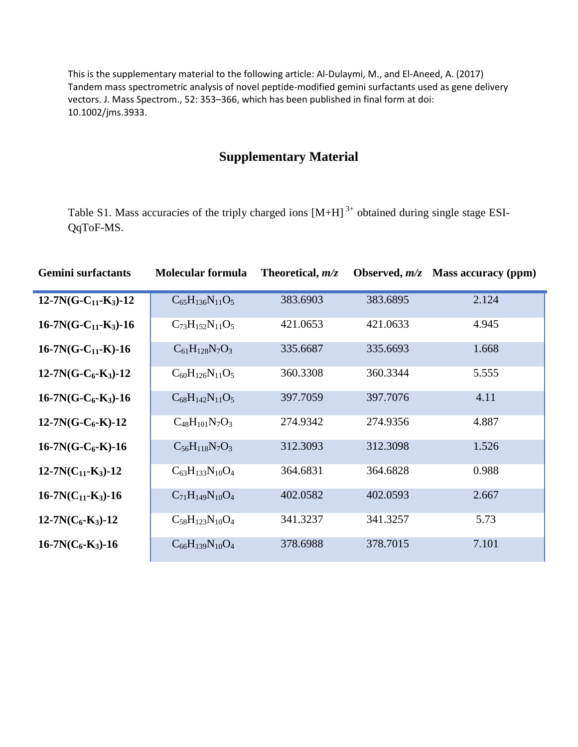This is the supplementary material to the following article: Al-Dulaymi, M., and El-Aneed, A. (2017) Tandem mass spectrometric analysis of novel peptide-modified gemini surfactants used as gene delivery vectors. J. Mass Spectrom., 52: 353–366, which has been published in final form at doi: 10.1002/jms.3933.

## **Supplementary Material**

Table S1. Mass accuracies of the triply charged ions  $[M+H]$ <sup>3+</sup> obtained during single stage ESI-QqToF-MS.

| <b>Gemini</b> surfactants  | <b>Molecular formula</b> | Theoretical, $m/z$ |          | Observed, $m/z$ Mass accuracy (ppm) |
|----------------------------|--------------------------|--------------------|----------|-------------------------------------|
| $12 - 7N(G-C_{11}-K_3)-12$ | $C_{65}H_{136}N_{11}O_5$ | 383.6903           | 383.6895 | 2.124                               |
| $16-7N(G-C_{11}-K_3)-16$   | $C_{73}H_{152}N_{11}O_5$ | 421.0653           | 421.0633 | 4.945                               |
| $16-7N(G-C_{11}-K)-16$     | $C_{61}H_{128}N_7O_3$    | 335.6687           | 335.6693 | 1.668                               |
| $12-7N(G-C_6-K_3)-12$      | $C_{60}H_{126}N_{11}O_5$ | 360.3308           | 360.3344 | 5.555                               |
| $16-7N(G-C_6-K_3)-16$      | $C_{68}H_{142}N_{11}O_5$ | 397.7059           | 397.7076 | 4.11                                |
| $12-7N(G-C_6-K)-12$        | $C_{48}H_{101}N_7O_3$    | 274.9342           | 274.9356 | 4.887                               |
| $16-7N(G-C_6-K)-16$        | $C_{56}H_{118}N_7O_3$    | 312.3093           | 312.3098 | 1.526                               |
| $12-7N(C_{11}-K_3)-12$     | $C_{63}H_{133}N_{10}O_4$ | 364.6831           | 364.6828 | 0.988                               |
| $16-7N(C_{11}-K_3)-16$     | $C_{71}H_{149}N_{10}O_4$ | 402.0582           | 402.0593 | 2.667                               |
| $12-7N(C_6-K_3)-12$        | $C_{58}H_{123}N_{10}O_4$ | 341.3237           | 341.3257 | 5.73                                |
| $16-7N(C_6-K_3)-16$        | $C_{66}H_{139}N_{10}O_4$ | 378.6988           | 378.7015 | 7.101                               |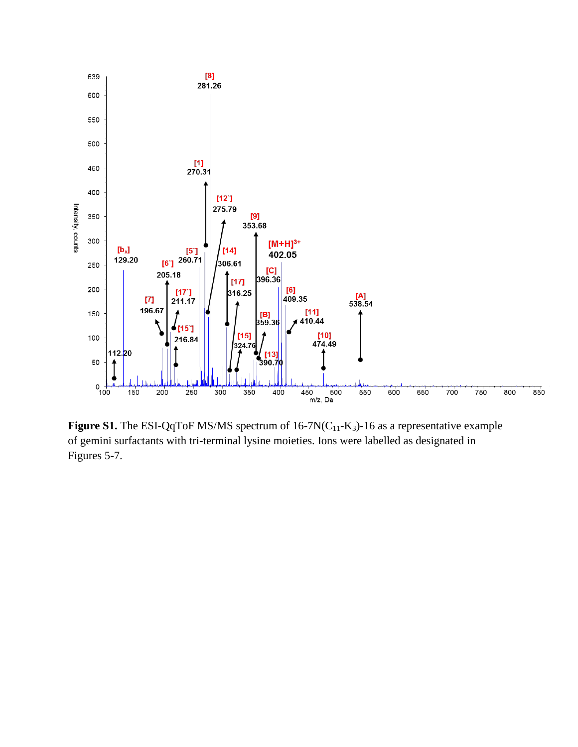

**Figure S1.** The ESI-QqToF MS/MS spectrum of 16-7N(C<sub>11</sub>-K<sub>3</sub>)-16 as a representative example of gemini surfactants with tri-terminal lysine moieties. Ions were labelled as designated in Figures 5-7.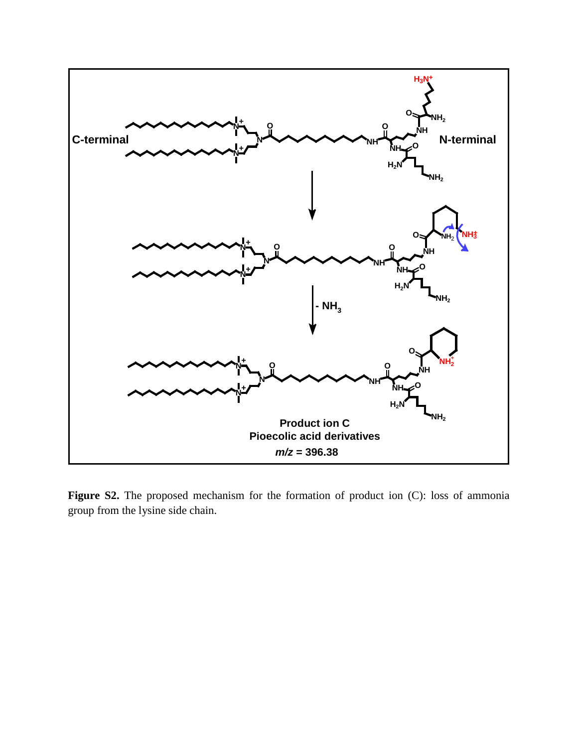

Figure S2. The proposed mechanism for the formation of product ion (C): loss of ammonia group from the lysine side chain.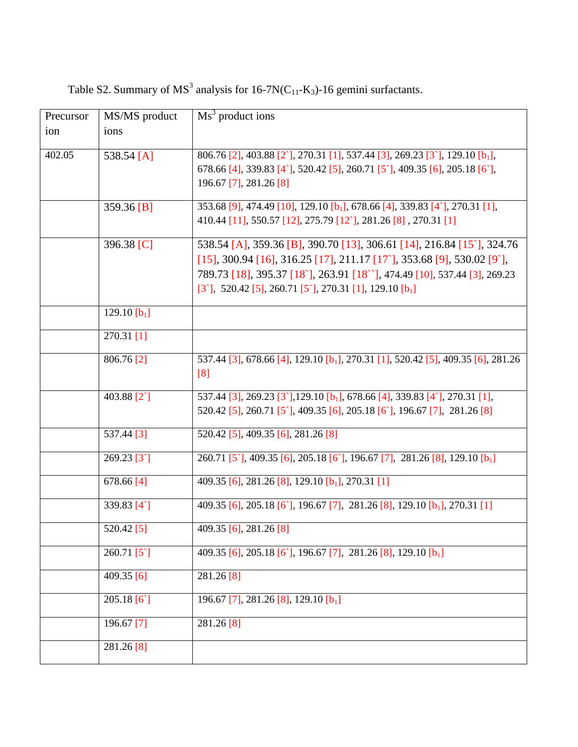| Precursor | MS/MS product         | $\overline{Ms}^3$ product ions                                                                                                                                                                                                                                                                                            |
|-----------|-----------------------|---------------------------------------------------------------------------------------------------------------------------------------------------------------------------------------------------------------------------------------------------------------------------------------------------------------------------|
| ion       | ions                  |                                                                                                                                                                                                                                                                                                                           |
| 402.05    | 538.54 [A]            | $806.76$ [2], 403.88 [2], 270.31 [1], 537.44 [3], 269.23 [3], 129.10 [b <sub>1</sub> ],<br>678.66 [4], 339.83 [4], 520.42 [5], 260.71 [5], 409.35 [6], 205.18 [6],<br>196.67 [7], 281.26 [8]                                                                                                                              |
|           | 359.36 [B]            | 353.68 [9], 474.49 [10], 129.10 [b <sub>1</sub> ], 678.66 [4], 339.83 [4`], 270.31 [1],<br>410.44 [11], 550.57 [12], 275.79 [12], 281.26 [8], 270.31 [1]                                                                                                                                                                  |
|           | 396.38 [C]            | 538.54 [A], 359.36 [B], 390.70 [13], 306.61 [14], 216.84 [15], 324.76<br>$[15]$ , 300.94 $[16]$ , 316.25 $[17]$ , 211.17 $[17]$ , 353.68 $[9]$ , 530.02 $[9]$ ,<br>789.73 [18], 395.37 [18], 263.91 [18 ], 474.49 [10], 537.44 [3], 269.23<br>$[3^{\circ}], 520.42$ [5], 260.71 [5], 270.31 [1], 129.10 [b <sub>1</sub> ] |
|           | 129.10 $[b_1]$        |                                                                                                                                                                                                                                                                                                                           |
|           | $270.31$ [1]          |                                                                                                                                                                                                                                                                                                                           |
|           | 806.76 [2]            | 537.44 [3], 678.66 [4], 129.10 [b <sub>1</sub> ], 270.31 [1], 520.42 [5], 409.35 [6], 281.26<br>[8]                                                                                                                                                                                                                       |
|           | 403.88 <sup>[2]</sup> | 537.44 [3], 269.23 [3], 129.10 [b <sub>1</sub> ], 678.66 [4], 339.83 [4], 270.31 [1],<br>520.42 [5], 260.71 [5], 409.35 [6], 205.18 [6], 196.67 [7], 281.26 [8]                                                                                                                                                           |
|           | 537.44 [3]            | 520.42 [5], 409.35 [6], 281.26 [8]                                                                                                                                                                                                                                                                                        |
|           | 269.23 [3]            | 260.71 [5], 409.35 [6], 205.18 [6], 196.67 [7], 281.26 [8], 129.10 [b <sub>1</sub> ]                                                                                                                                                                                                                                      |
|           | $678.66$ [4]          | 409.35 [6], 281.26 [8], 129.10 [b <sub>1</sub> ], 270.31 [1]                                                                                                                                                                                                                                                              |
|           | 339.83 [4]            | 409.35 [6], 205.18 [6], 196.67 [7], 281.26 [8], 129.10 [b <sub>1</sub> ], 270.31 [1]                                                                                                                                                                                                                                      |
|           | 520.42 [5]            | 409.35 [6], 281.26 [8]                                                                                                                                                                                                                                                                                                    |
|           | $260.71$ [5]          | 409.35 [6], 205.18 [6], 196.67 [7], 281.26 [8], 129.10 [b <sub>1</sub> ]                                                                                                                                                                                                                                                  |
|           | 409.35 [6]            | 281.26 [8]                                                                                                                                                                                                                                                                                                                |
|           | 205.18 $[6]$          | 196.67 [7], 281.26 [8], 129.10 [b <sub>1</sub> ]                                                                                                                                                                                                                                                                          |
|           | 196.67 [7]            | 281.26 [8]                                                                                                                                                                                                                                                                                                                |
|           | 281.26 [8]            |                                                                                                                                                                                                                                                                                                                           |

Table S2. Summary of  $MS^3$  analysis for 16-7N(C<sub>11</sub>-K<sub>3</sub>)-16 gemini surfactants.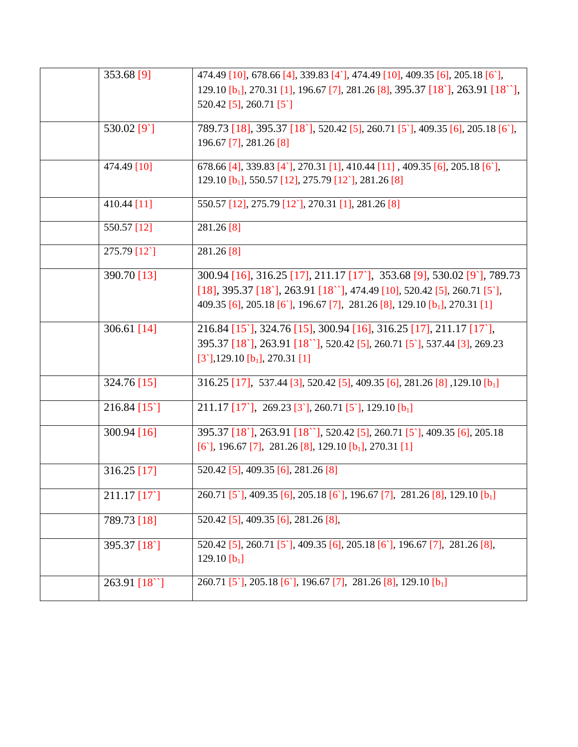| 353.68 [9]                     | 474.49 [10], 678.66 [4], 339.83 [4], 474.49 [10], 409.35 [6], 205.18 [6],<br>129.10 $[b_1]$ , 270.31 [1], 196.67 [7], 281.26 [8], 395.37 [18'], 263.91 [18'],<br>520.42 [5], 260.71 [5]                                                                  |
|--------------------------------|----------------------------------------------------------------------------------------------------------------------------------------------------------------------------------------------------------------------------------------------------------|
| 530.02 [9]                     | 789.73 [18], 395.37 [18], 520.42 [5], 260.71 [5], 409.35 [6], 205.18 [6],<br>196.67 [7], 281.26 [8]                                                                                                                                                      |
| 474.49 [10]                    | 678.66 [4], 339.83 [4`], 270.31 [1], 410.44 [11], 409.35 [6], 205.18 [6],<br>129.10 $[b_1]$ , 550.57 [12], 275.79 [12], 281.26 [8]                                                                                                                       |
| 410.44 [11]                    | 550.57 [12], 275.79 [12], 270.31 [1], 281.26 [8]                                                                                                                                                                                                         |
| 550.57 [12]                    | 281.26 [8]                                                                                                                                                                                                                                               |
| 275.79 [12]                    | $281.26$ [8]                                                                                                                                                                                                                                             |
| 390.70 [13]                    | 300.94 [16], 316.25 [17], 211.17 [17], 353.68 [9], 530.02 [9], 789.73<br>$[18]$ , 395.37 $[18]$ , 263.91 $[18'$ ], 474.49 $[10]$ , 520.42 $[5]$ , 260.71 $[5]$ ,<br>409.35 [6], 205.18 [6], 196.67 [7], 281.26 [8], 129.10 [b <sub>1</sub> ], 270.31 [1] |
| 306.61 $[14]$                  | 216.84 [15], 324.76 [15], 300.94 [16], 316.25 [17], 211.17 [17],<br>395.37 [18], 263.91 [18 ], 520.42 [5], 260.71 [5], 537.44 [3], 269.23<br>$[3^{\circ}], 129.10$ $[b_1], 270.31$ [1]                                                                   |
| 324.76 [15]                    | 316.25 [17], 537.44 [3], 520.42 [5], 409.35 [6], 281.26 [8], 129.10 [b <sub>1</sub> ]                                                                                                                                                                    |
| $216.84$ [15 <sup>\cot</sup> ] | 211.17 [17], 269.23 [3], 260.71 [5], 129.10 [b <sub>1</sub> ]                                                                                                                                                                                            |
| $300.94$ [16]                  | 395.37 [18'], 263.91 [18''], 520.42 [5], 260.71 [5'], 409.35 [6], 205.18<br>$[6]$ , 196.67 [7], 281.26 [8], 129.10 [b <sub>1</sub> ], 270.31 [1]                                                                                                         |
| $316.25$ [17]                  | 520.42 [5], 409.35 [6], 281.26 [8]                                                                                                                                                                                                                       |
| 211.17 [17]                    | 260.71 [5], 409.35 [6], 205.18 [6], 196.67 [7], 281.26 [8], 129.10 [b <sub>1</sub> ]                                                                                                                                                                     |
| 789.73 [18]                    | 520.42 [5], 409.35 [6], 281.26 [8],                                                                                                                                                                                                                      |
| 395.37 [18]                    | 520.42 [5], 260.71 [5], 409.35 [6], 205.18 [6], 196.67 [7], 281.26 [8],<br>129.10 $[b_1]$                                                                                                                                                                |
| 263.91 [18"]                   | 260.71 [5], 205.18 [6], 196.67 [7], 281.26 [8], 129.10 [b <sub>1</sub> ]                                                                                                                                                                                 |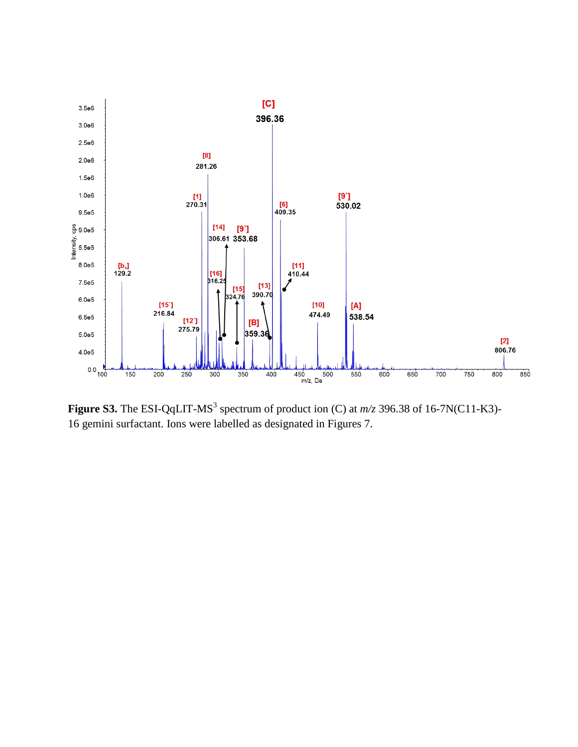

**Figure S3.** The ESI-QqLIT-MS<sup>3</sup> spectrum of product ion (C) at  $m/z$  396.38 of 16-7N(C11-K3)-16 gemini surfactant. Ions were labelled as designated in Figures 7.